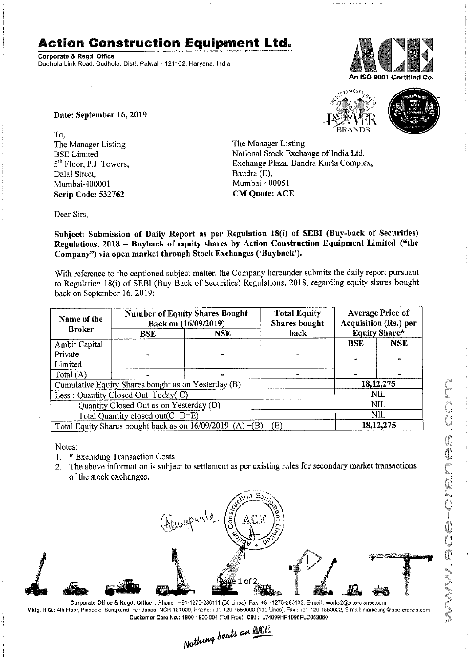## Action Construction Equipment Ltd.

Corporate & Regd. Office Dudhola Link Road. Dudhola, Distt. Palwal - 121102, Haryana, India



Date: September 16, 2019

To, The Manager Listing The Manager Listing<br>BSE Limited National Stock Excha Dalal Street, Bandra (E), Mumbai-400001 Scrip Code: 532762 CM Quote: ACE

' BRANDS BSE Limited<br>
5<sup>th</sup> Floor, P.J. Towers, Samuel Base Exchange Plaza, Bandra Kurla Complete Exchange Plaza, Bandra Kurla Complete Exchange Plaza, Bandra Kurla Complex, Bandra (E),



Subject: Submission of Daily Report as per Regulation 18(1) of SEBI (Buy-back of Securities) Regulations, 2018 - Buyback of equity shares by Action Construction Equipment Limited ("the Company") via open market through Stock Exchanges ('Buyback').

With reference to the captioned subject matter, the Company hereunder submits the daily report pursuant to Regulation 18(i) of SEBI (Buy Back of Securities) Regulations, 2018, regarding equity shares bought back on September 16, 2019:

| Name of the                                                       | <b>Number of Equity Shares Bought</b><br>Back on (16/09/2019) |  | <b>Total Equity</b><br><b>Shares bought</b> | <b>Average Price of</b><br><b>Acquisition (Rs.) per</b><br><b>Equity Share*</b> |            |
|-------------------------------------------------------------------|---------------------------------------------------------------|--|---------------------------------------------|---------------------------------------------------------------------------------|------------|
| <b>Broker</b>                                                     | back<br><b>NSE</b><br><b>BSE</b>                              |  |                                             |                                                                                 |            |
| Ambit Capital                                                     |                                                               |  |                                             | <b>BSE</b>                                                                      | <b>NSE</b> |
| Private                                                           |                                                               |  |                                             |                                                                                 |            |
| Limited                                                           |                                                               |  |                                             |                                                                                 |            |
| Total $(A)$                                                       |                                                               |  |                                             |                                                                                 |            |
| Cumulative Equity Shares bought as on Yesterday (B)               |                                                               |  |                                             | 18, 12, 275                                                                     |            |
| Less: Quantity Closed Out Today(C)                                |                                                               |  |                                             | NIL                                                                             |            |
| Quantity Closed Out as on Yesterday (D)                           |                                                               |  |                                             | <b>NIL</b>                                                                      |            |
| Total Quantity closed out(C+D=E)                                  |                                                               |  |                                             | NIL                                                                             |            |
| Total Equity Shares bought back as on $16/09/2019$ (A) +(B) – (E) |                                                               |  |                                             | 18, 12, 275                                                                     |            |

Notes:

- $1.$ Excluding Transaction Costs
- 2. The above information is subject to settlement as per existing rules for secondary market transactions of the stock exchanges.



Corporate Office & Regd. Office: Phone: +91-1275-280111 (50 Lines), Fax :+91-1275-280133, E-mail: works2@ace-cranes.com Mktg. H.Q.: 4th Floor Pinnacle Surajkund Faridabad NCR-121009 Phone. +91129-4550000 (100 Lines) Fax: +91129-4550022 E-mail: marketing@ase-cranes.com